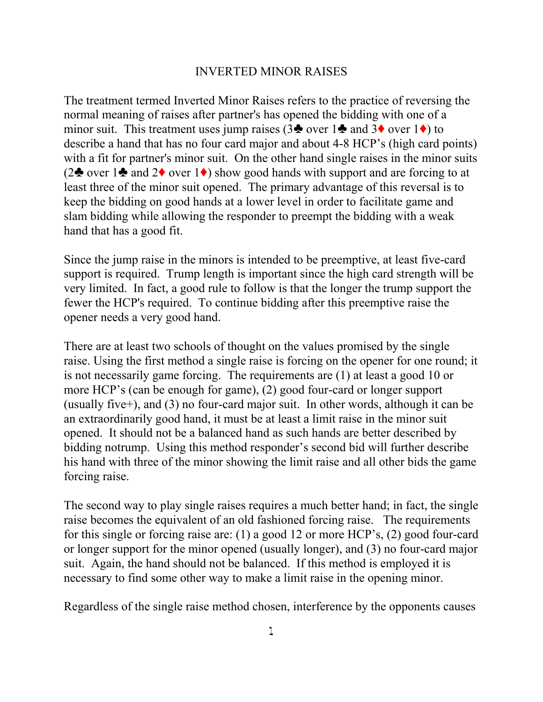## INVERTED MINOR RAISES

The treatment termed Inverted Minor Raises refers to the practice of reversing the normal meaning of raises after partner's has opened the bidding with one of a minor suit. This treatment uses jump raises (3 $\bullet$  over 1 $\bullet$  and 3 $\bullet$  over 1 $\bullet$ ) to describe a hand that has no four card major and about 4-8 HCP's (high card points) with a fit for partner's minor suit. On the other hand single raises in the minor suits (2<sup> $\bullet$ </sup> over 1 $\bullet$  and 2 $\bullet$  over 1 $\bullet$ ) show good hands with support and are forcing to at least three of the minor suit opened. The primary advantage of this reversal is to keep the bidding on good hands at a lower level in order to facilitate game and slam bidding while allowing the responder to preempt the bidding with a weak hand that has a good fit.

Since the jump raise in the minors is intended to be preemptive, at least five-card support is required. Trump length is important since the high card strength will be very limited. In fact, a good rule to follow is that the longer the trump support the fewer the HCP's required. To continue bidding after this preemptive raise the opener needs a very good hand.

There are at least two schools of thought on the values promised by the single raise. Using the first method a single raise is forcing on the opener for one round; it is not necessarily game forcing. The requirements are (1) at least a good 10 or more HCP's (can be enough for game), (2) good four-card or longer support (usually five+), and (3) no four-card major suit. In other words, although it can be an extraordinarily good hand, it must be at least a limit raise in the minor suit opened. It should not be a balanced hand as such hands are better described by bidding notrump. Using this method responder's second bid will further describe his hand with three of the minor showing the limit raise and all other bids the game forcing raise.

The second way to play single raises requires a much better hand; in fact, the single raise becomes the equivalent of an old fashioned forcing raise. The requirements for this single or forcing raise are: (1) a good 12 or more HCP's, (2) good four-card or longer support for the minor opened (usually longer), and (3) no four-card major suit. Again, the hand should not be balanced. If this method is employed it is necessary to find some other way to make a limit raise in the opening minor.

Regardless of the single raise method chosen, interference by the opponents causes